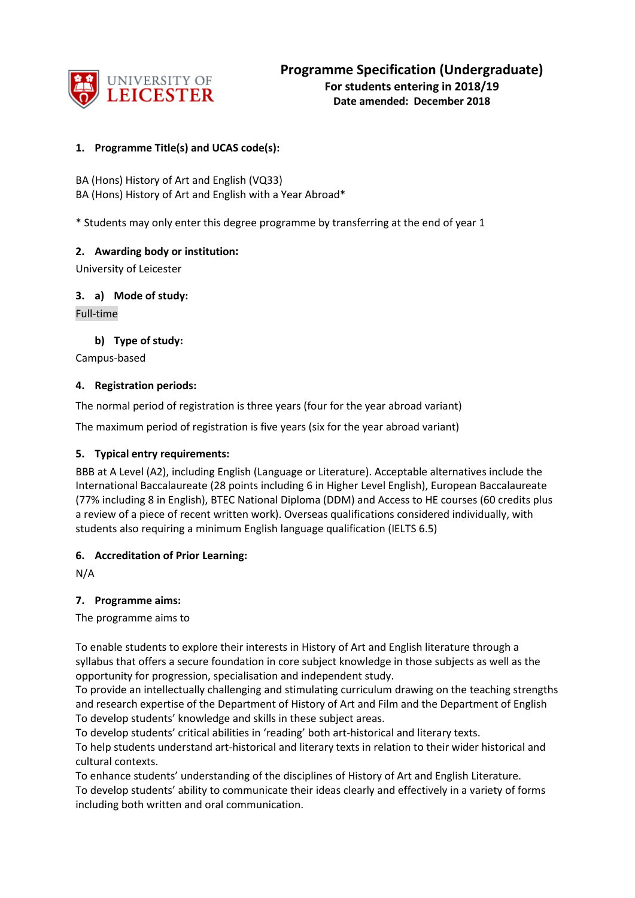

## **1. Programme Title(s) and UCAS code(s):**

BA (Hons) History of Art and English (VQ33) BA (Hons) History of Art and English with a Year Abroad\*

\* Students may only enter this degree programme by transferring at the end of year 1

## **2. Awarding body or institution:**

University of Leicester

**3. a) Mode of study:**

Full-time

## **b) Type of study:**

Campus-based

## **4. Registration periods:**

The normal period of registration is three years (four for the year abroad variant)

The maximum period of registration is five years (six for the year abroad variant)

## **5. Typical entry requirements:**

BBB at A Level (A2), including English (Language or Literature). Acceptable alternatives include the International Baccalaureate (28 points including 6 in Higher Level English), European Baccalaureate (77% including 8 in English), BTEC National Diploma (DDM) and Access to HE courses (60 credits plus a review of a piece of recent written work). Overseas qualifications considered individually, with students also requiring a minimum English language qualification (IELTS 6.5)

## **6. Accreditation of Prior Learning:**

N/A

## **7. Programme aims:**

The programme aims to

To enable students to explore their interests in History of Art and English literature through a syllabus that offers a secure foundation in core subject knowledge in those subjects as well as the opportunity for progression, specialisation and independent study.

To provide an intellectually challenging and stimulating curriculum drawing on the teaching strengths and research expertise of the Department of History of Art and Film and the Department of English To develop students' knowledge and skills in these subject areas.

To develop students' critical abilities in 'reading' both art-historical and literary texts.

To help students understand art-historical and literary texts in relation to their wider historical and cultural contexts.

To enhance students' understanding of the disciplines of History of Art and English Literature. To develop students' ability to communicate their ideas clearly and effectively in a variety of forms including both written and oral communication.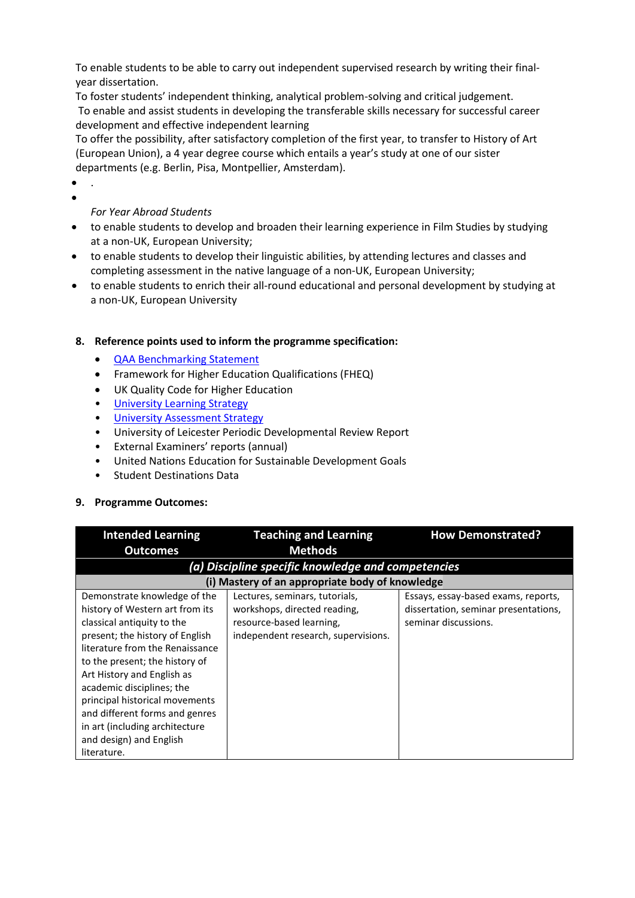To enable students to be able to carry out independent supervised research by writing their finalyear dissertation.

To foster students' independent thinking, analytical problem-solving and critical judgement. To enable and assist students in developing the transferable skills necessary for successful career development and effective independent learning

To offer the possibility, after satisfactory completion of the first year, to transfer to History of Art (European Union), a 4 year degree course which entails a year's study at one of our sister departments (e.g. Berlin, Pisa, Montpellier, Amsterdam).

• . •

# *For Year Abroad Students*

- to enable students to develop and broaden their learning experience in Film Studies by studying at a non-UK, European University;
- to enable students to develop their linguistic abilities, by attending lectures and classes and completing assessment in the native language of a non-UK, European University;
- to enable students to enrich their all-round educational and personal development by studying at a non-UK, European University

## **8. Reference points used to inform the programme specification:**

- [QAA Benchmarking Statement](http://www.qaa.ac.uk/en/Publications/Documents/SBS-History-of-Art-Architecture-and-Design-17.pdf)
- Framework for Higher Education Qualifications (FHEQ)
- UK Quality Code for Higher Education
- University Learnin[g Strategy](https://www2.le.ac.uk/offices/sas2/quality/learnteach)
- [University Assessment Strategy](https://www2.le.ac.uk/offices/sas2/quality/learnteach)
- University of Leicester Periodic Developmental Review Report
- External Examiners' reports (annual)
- United Nations Education for Sustainable Development Goals
- Student Destinations Data

## **9. Programme Outcomes:**

| <b>Intended Learning</b>                           | <b>Teaching and Learning</b>                    | <b>How Demonstrated?</b>             |  |  |
|----------------------------------------------------|-------------------------------------------------|--------------------------------------|--|--|
| <b>Outcomes</b>                                    | <b>Methods</b>                                  |                                      |  |  |
| (a) Discipline specific knowledge and competencies |                                                 |                                      |  |  |
|                                                    | (i) Mastery of an appropriate body of knowledge |                                      |  |  |
| Demonstrate knowledge of the                       | Lectures, seminars, tutorials,                  | Essays, essay-based exams, reports,  |  |  |
| history of Western art from its                    | workshops, directed reading,                    | dissertation, seminar presentations, |  |  |
| classical antiquity to the                         | resource-based learning,                        | seminar discussions.                 |  |  |
| present; the history of English                    | independent research, supervisions.             |                                      |  |  |
| literature from the Renaissance                    |                                                 |                                      |  |  |
| to the present; the history of                     |                                                 |                                      |  |  |
| Art History and English as                         |                                                 |                                      |  |  |
| academic disciplines; the                          |                                                 |                                      |  |  |
| principal historical movements                     |                                                 |                                      |  |  |
| and different forms and genres                     |                                                 |                                      |  |  |
| in art (including architecture                     |                                                 |                                      |  |  |
| and design) and English                            |                                                 |                                      |  |  |
| literature.                                        |                                                 |                                      |  |  |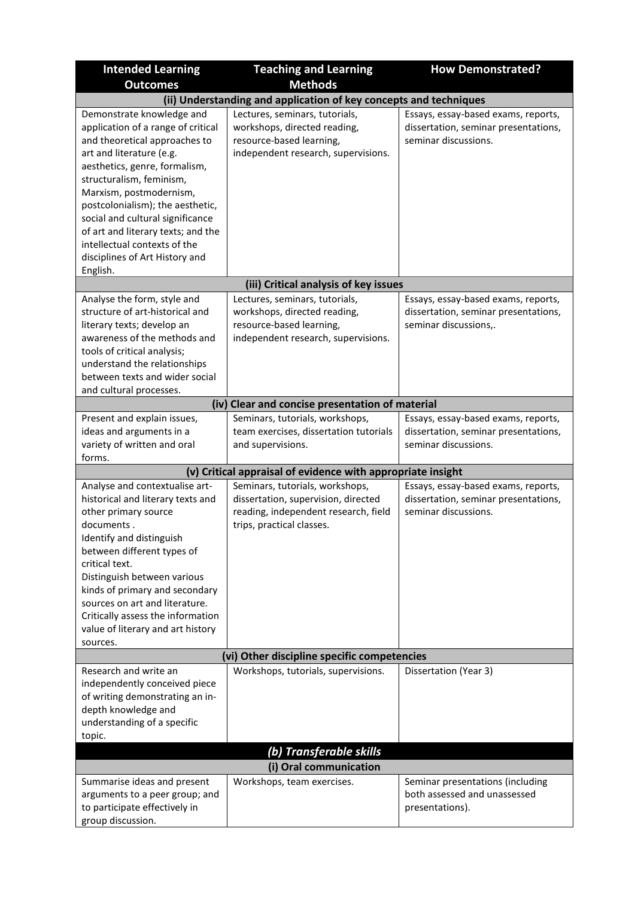| <b>Intended Learning</b>                                                                                                                                                                                                                                                                                                                                                       | <b>Teaching and Learning</b>                                                                                                                | <b>How Demonstrated?</b>                                                                             |  |
|--------------------------------------------------------------------------------------------------------------------------------------------------------------------------------------------------------------------------------------------------------------------------------------------------------------------------------------------------------------------------------|---------------------------------------------------------------------------------------------------------------------------------------------|------------------------------------------------------------------------------------------------------|--|
| <b>Outcomes</b>                                                                                                                                                                                                                                                                                                                                                                | <b>Methods</b>                                                                                                                              |                                                                                                      |  |
|                                                                                                                                                                                                                                                                                                                                                                                | (ii) Understanding and application of key concepts and techniques                                                                           |                                                                                                      |  |
| Demonstrate knowledge and<br>application of a range of critical<br>and theoretical approaches to<br>art and literature (e.g.<br>aesthetics, genre, formalism,<br>structuralism, feminism,<br>Marxism, postmodernism,<br>postcolonialism); the aesthetic,<br>social and cultural significance                                                                                   | Lectures, seminars, tutorials,<br>workshops, directed reading,<br>resource-based learning,<br>independent research, supervisions.           | Essays, essay-based exams, reports,<br>dissertation, seminar presentations,<br>seminar discussions.  |  |
| of art and literary texts; and the<br>intellectual contexts of the<br>disciplines of Art History and<br>English.                                                                                                                                                                                                                                                               |                                                                                                                                             |                                                                                                      |  |
|                                                                                                                                                                                                                                                                                                                                                                                | (iii) Critical analysis of key issues                                                                                                       |                                                                                                      |  |
| Analyse the form, style and<br>structure of art-historical and<br>literary texts; develop an<br>awareness of the methods and<br>tools of critical analysis;<br>understand the relationships<br>between texts and wider social<br>and cultural processes.                                                                                                                       | Lectures, seminars, tutorials,<br>workshops, directed reading,<br>resource-based learning,<br>independent research, supervisions.           | Essays, essay-based exams, reports,<br>dissertation, seminar presentations,<br>seminar discussions,. |  |
|                                                                                                                                                                                                                                                                                                                                                                                | (iv) Clear and concise presentation of material                                                                                             |                                                                                                      |  |
| Present and explain issues,<br>ideas and arguments in a<br>variety of written and oral<br>forms.                                                                                                                                                                                                                                                                               | Seminars, tutorials, workshops,<br>team exercises, dissertation tutorials<br>and supervisions.                                              | Essays, essay-based exams, reports,<br>dissertation, seminar presentations,<br>seminar discussions.  |  |
|                                                                                                                                                                                                                                                                                                                                                                                | (v) Critical appraisal of evidence with appropriate insight                                                                                 |                                                                                                      |  |
| Analyse and contextualise art-<br>historical and literary texts and<br>other primary source<br>documents.<br>Identify and distinguish<br>between different types of<br>critical text.<br>Distinguish between various<br>kinds of primary and secondary<br>sources on art and literature.<br>Critically assess the information<br>value of literary and art history<br>sources. | Seminars, tutorials, workshops,<br>dissertation, supervision, directed<br>reading, independent research, field<br>trips, practical classes. | Essays, essay-based exams, reports,<br>dissertation, seminar presentations,<br>seminar discussions.  |  |
|                                                                                                                                                                                                                                                                                                                                                                                | (vi) Other discipline specific competencies                                                                                                 |                                                                                                      |  |
| Research and write an<br>independently conceived piece<br>of writing demonstrating an in-<br>depth knowledge and<br>understanding of a specific<br>topic.                                                                                                                                                                                                                      | Workshops, tutorials, supervisions.                                                                                                         | Dissertation (Year 3)                                                                                |  |
| (b) Transferable skills                                                                                                                                                                                                                                                                                                                                                        |                                                                                                                                             |                                                                                                      |  |
| Summarise ideas and present<br>arguments to a peer group; and<br>to participate effectively in<br>group discussion.                                                                                                                                                                                                                                                            | (i) Oral communication<br>Workshops, team exercises.                                                                                        | Seminar presentations (including<br>both assessed and unassessed<br>presentations).                  |  |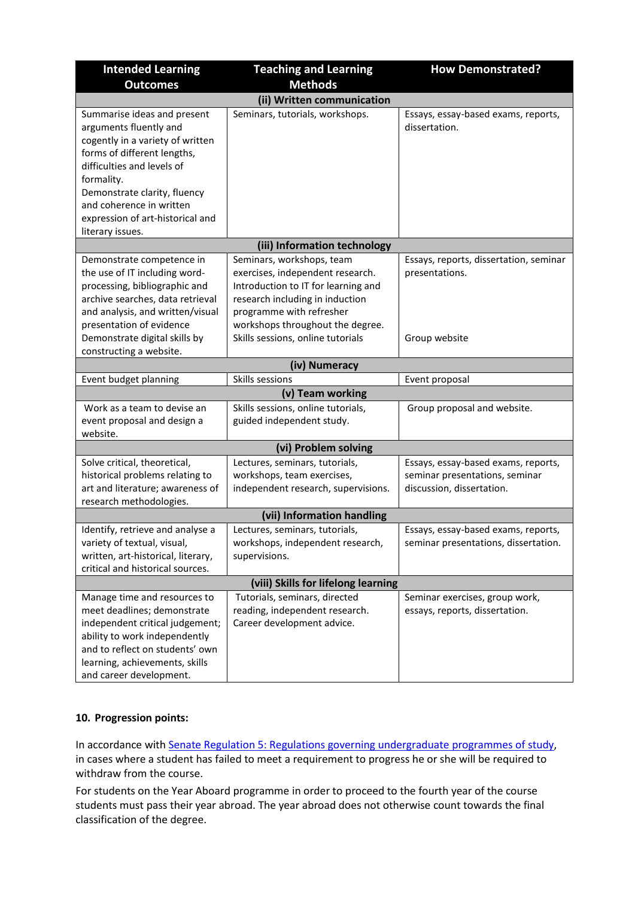| <b>Intended Learning</b>                                                                                                                                                                                                                                                                 | <b>Teaching and Learning</b>                                                                                                                                                                                                                 | <b>How Demonstrated?</b>                                                                           |  |
|------------------------------------------------------------------------------------------------------------------------------------------------------------------------------------------------------------------------------------------------------------------------------------------|----------------------------------------------------------------------------------------------------------------------------------------------------------------------------------------------------------------------------------------------|----------------------------------------------------------------------------------------------------|--|
| <b>Outcomes</b>                                                                                                                                                                                                                                                                          | <b>Methods</b>                                                                                                                                                                                                                               |                                                                                                    |  |
|                                                                                                                                                                                                                                                                                          | (ii) Written communication                                                                                                                                                                                                                   |                                                                                                    |  |
| Summarise ideas and present<br>arguments fluently and<br>cogently in a variety of written<br>forms of different lengths,<br>difficulties and levels of<br>formality.<br>Demonstrate clarity, fluency<br>and coherence in written<br>expression of art-historical and<br>literary issues. | Seminars, tutorials, workshops.                                                                                                                                                                                                              | Essays, essay-based exams, reports,<br>dissertation.                                               |  |
|                                                                                                                                                                                                                                                                                          | (iii) Information technology                                                                                                                                                                                                                 |                                                                                                    |  |
| Demonstrate competence in<br>the use of IT including word-<br>processing, bibliographic and<br>archive searches, data retrieval<br>and analysis, and written/visual<br>presentation of evidence<br>Demonstrate digital skills by                                                         | Seminars, workshops, team<br>exercises, independent research.<br>Introduction to IT for learning and<br>research including in induction<br>programme with refresher<br>workshops throughout the degree.<br>Skills sessions, online tutorials | Essays, reports, dissertation, seminar<br>presentations.<br>Group website                          |  |
| constructing a website.                                                                                                                                                                                                                                                                  |                                                                                                                                                                                                                                              |                                                                                                    |  |
|                                                                                                                                                                                                                                                                                          | (iv) Numeracy                                                                                                                                                                                                                                |                                                                                                    |  |
| Event budget planning                                                                                                                                                                                                                                                                    | Skills sessions                                                                                                                                                                                                                              | Event proposal                                                                                     |  |
|                                                                                                                                                                                                                                                                                          | (v) Team working                                                                                                                                                                                                                             |                                                                                                    |  |
| Work as a team to devise an<br>event proposal and design a<br>website.                                                                                                                                                                                                                   | Skills sessions, online tutorials,<br>guided independent study.                                                                                                                                                                              | Group proposal and website.                                                                        |  |
|                                                                                                                                                                                                                                                                                          | (vi) Problem solving                                                                                                                                                                                                                         |                                                                                                    |  |
| Solve critical, theoretical,<br>historical problems relating to<br>art and literature; awareness of<br>research methodologies.                                                                                                                                                           | Lectures, seminars, tutorials,<br>workshops, team exercises,<br>independent research, supervisions.                                                                                                                                          | Essays, essay-based exams, reports,<br>seminar presentations, seminar<br>discussion, dissertation. |  |
|                                                                                                                                                                                                                                                                                          | (vii) Information handling                                                                                                                                                                                                                   |                                                                                                    |  |
| Identify, retrieve and analyse a<br>variety of textual, visual,<br>written, art-historical, literary,<br>critical and historical sources.                                                                                                                                                | Lectures, seminars, tutorials,<br>workshops, independent research,<br>supervisions.                                                                                                                                                          | Essays, essay-based exams, reports,<br>seminar presentations, dissertation.                        |  |
| (viii) Skills for lifelong learning                                                                                                                                                                                                                                                      |                                                                                                                                                                                                                                              |                                                                                                    |  |
| Manage time and resources to<br>meet deadlines; demonstrate<br>independent critical judgement;<br>ability to work independently<br>and to reflect on students' own<br>learning, achievements, skills<br>and career development.                                                          | Tutorials, seminars, directed<br>reading, independent research.<br>Career development advice.                                                                                                                                                | Seminar exercises, group work,<br>essays, reports, dissertation.                                   |  |

## **10. Progression points:**

In accordance with [Senate Regulation 5: Regulations governing undergraduate programmes of study,](https://www2.le.ac.uk/offices/sas2/regulations/documents/senatereg5-undergraduates) in cases where a student has failed to meet a requirement to progress he or she will be required to withdraw from the course.

For students on the Year Aboard programme in order to proceed to the fourth year of the course students must pass their year abroad. The year abroad does not otherwise count towards the final classification of the degree.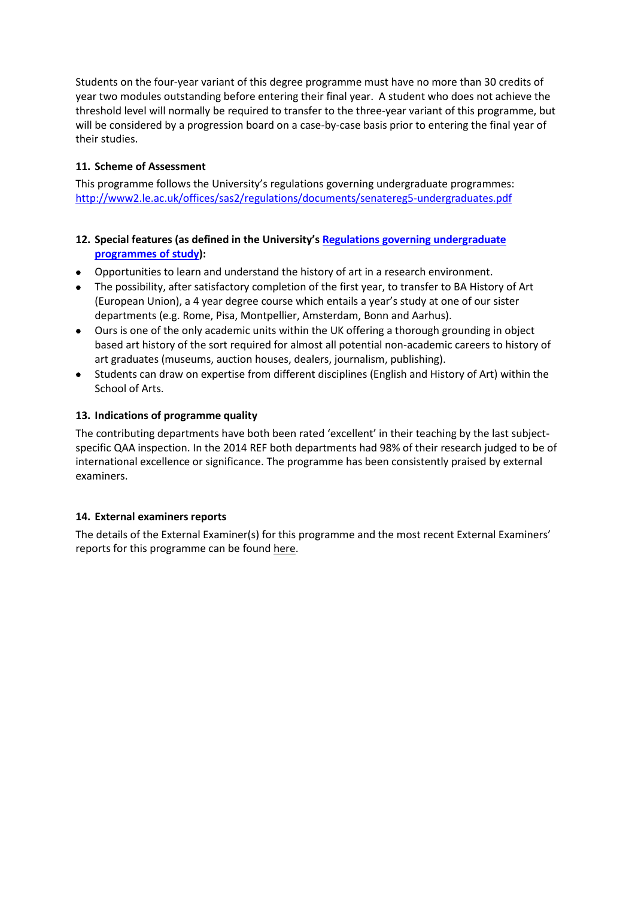Students on the four-year variant of this degree programme must have no more than 30 credits of year two modules outstanding before entering their final year. A student who does not achieve the threshold level will normally be required to transfer to the three-year variant of this programme, but will be considered by a progression board on a case-by-case basis prior to entering the final year of their studies.

## **11. Scheme of Assessment**

This programme follows the University's regulations governing undergraduate programmes: <http://www2.le.ac.uk/offices/sas2/regulations/documents/senatereg5-undergraduates.pdf>

## **12. Special features (as defined in the University's [Regulations governing undergraduate](http://www2.le.ac.uk/offices/sas2/regulations/documents/senatereg5-undergraduates.pdf)  [programmes of study\)](http://www2.le.ac.uk/offices/sas2/regulations/documents/senatereg5-undergraduates.pdf):**

- Opportunities to learn and understand the history of art in a research environment.
- The possibility, after satisfactory completion of the first year, to transfer to BA History of Art (European Union), a 4 year degree course which entails a year's study at one of our sister departments (e.g. Rome, Pisa, Montpellier, Amsterdam, Bonn and Aarhus).
- Ours is one of the only academic units within the UK offering a thorough grounding in object based art history of the sort required for almost all potential non-academic careers to history of art graduates (museums, auction houses, dealers, journalism, publishing).
- Students can draw on expertise from different disciplines (English and History of Art) within the School of Arts.

## **13. Indications of programme quality**

The contributing departments have both been rated 'excellent' in their teaching by the last subjectspecific QAA inspection. In the 2014 REF both departments had 98% of their research judged to be of international excellence or significance. The programme has been consistently praised by external examiners.

## **14. External examiners reports**

The details of the External Examiner(s) for this programme and the most recent External Examiners' reports for this programme can be foun[d here.](https://exampapers.le.ac.uk/xmlui/)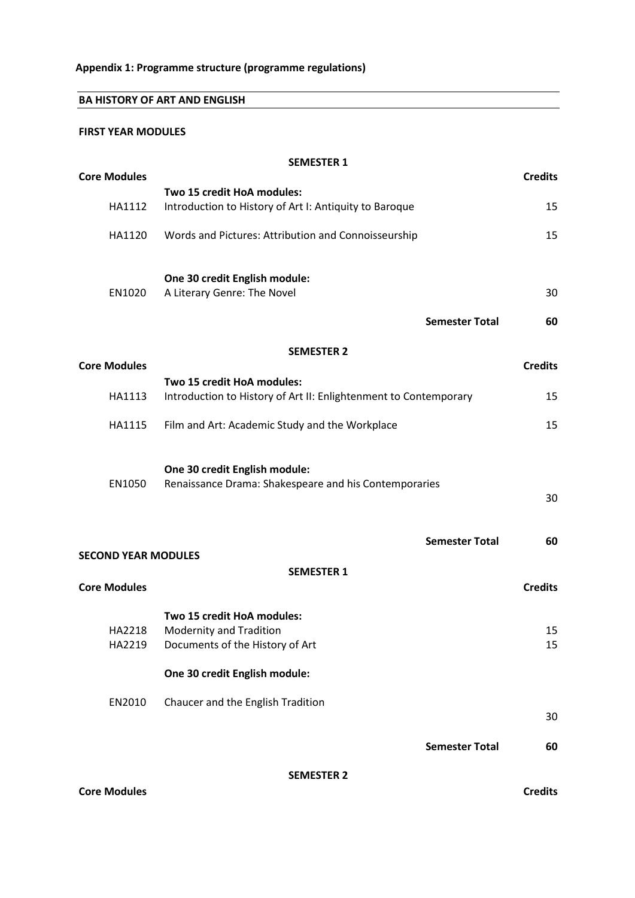# **BA HISTORY OF ART AND ENGLISH**

### **FIRST YEAR MODULES**

|                            | <b>SEMESTER 1</b>                                                |                |
|----------------------------|------------------------------------------------------------------|----------------|
| <b>Core Modules</b>        |                                                                  | <b>Credits</b> |
|                            | Two 15 credit HoA modules:                                       |                |
| HA1112                     | Introduction to History of Art I: Antiquity to Baroque           | 15             |
| HA1120                     | Words and Pictures: Attribution and Connoisseurship              | 15             |
|                            | One 30 credit English module:                                    |                |
| EN1020                     | A Literary Genre: The Novel                                      | 30             |
|                            | <b>Semester Total</b>                                            | 60             |
|                            | <b>SEMESTER 2</b>                                                |                |
| <b>Core Modules</b>        |                                                                  | <b>Credits</b> |
|                            | Two 15 credit HoA modules:                                       |                |
| HA1113                     | Introduction to History of Art II: Enlightenment to Contemporary | 15             |
| HA1115                     | Film and Art: Academic Study and the Workplace                   | 15             |
|                            | One 30 credit English module:                                    |                |
| EN1050                     | Renaissance Drama: Shakespeare and his Contemporaries            | 30             |
|                            | <b>Semester Total</b>                                            | 60             |
| <b>SECOND YEAR MODULES</b> |                                                                  |                |
|                            | <b>SEMESTER 1</b>                                                |                |
| <b>Core Modules</b>        |                                                                  | <b>Credits</b> |
|                            | Two 15 credit HoA modules:                                       |                |
| HA2218                     | <b>Modernity and Tradition</b>                                   | 15             |
| HA2219                     | Documents of the History of Art                                  | 15             |
|                            | One 30 credit English module:                                    |                |
| EN2010                     | Chaucer and the English Tradition                                | 30             |
|                            | <b>Semester Total</b>                                            |                |
|                            |                                                                  | 60             |
|                            | <b>SEMESTER 2</b>                                                |                |
| <b>Core Modules</b>        |                                                                  | <b>Credits</b> |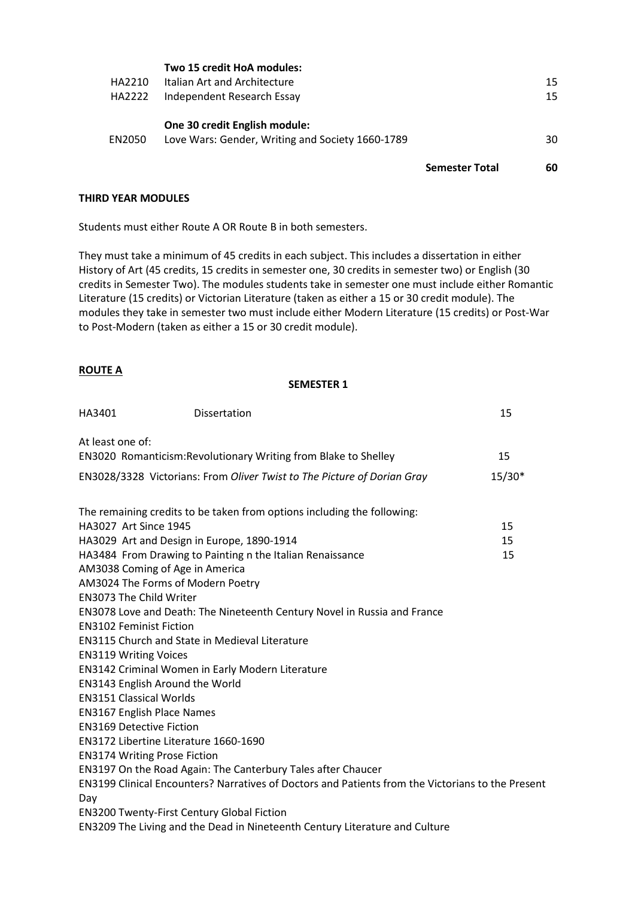| HA2210<br>HA2222 | Italian Art and Architecture<br>Independent Research Essay<br>One 30 credit English module: |                       | 15<br>15 |
|------------------|---------------------------------------------------------------------------------------------|-----------------------|----------|
| EN2050           | Love Wars: Gender, Writing and Society 1660-1789                                            |                       | 30       |
|                  |                                                                                             | <b>Semester Total</b> | 60       |

### **THIRD YEAR MODULES**

Students must either Route A OR Route B in both semesters.

They must take a minimum of 45 credits in each subject. This includes a dissertation in either History of Art (45 credits, 15 credits in semester one, 30 credits in semester two) or English (30 credits in Semester Two). The modules students take in semester one must include either Romantic Literature (15 credits) or Victorian Literature (taken as either a 15 or 30 credit module). The modules they take in semester two must include either Modern Literature (15 credits) or Post-War to Post-Modern (taken as either a 15 or 30 credit module).

### **ROUTE A**

### **SEMESTER 1**

| HA3401                            | Dissertation                                                                                      | 15       |
|-----------------------------------|---------------------------------------------------------------------------------------------------|----------|
| At least one of:                  |                                                                                                   |          |
|                                   | EN3020 Romanticism: Revolutionary Writing from Blake to Shelley                                   | 15       |
|                                   |                                                                                                   |          |
|                                   | EN3028/3328 Victorians: From Oliver Twist to The Picture of Dorian Gray                           | $15/30*$ |
|                                   |                                                                                                   |          |
|                                   | The remaining credits to be taken from options including the following:                           |          |
| <b>HA3027 Art Since 1945</b>      |                                                                                                   | 15       |
|                                   | HA3029 Art and Design in Europe, 1890-1914                                                        | 15       |
|                                   | HA3484 From Drawing to Painting n the Italian Renaissance                                         | 15       |
|                                   | AM3038 Coming of Age in America                                                                   |          |
|                                   | AM3024 The Forms of Modern Poetry                                                                 |          |
| <b>EN3073 The Child Writer</b>    |                                                                                                   |          |
|                                   | EN3078 Love and Death: The Nineteenth Century Novel in Russia and France                          |          |
| <b>EN3102 Feminist Fiction</b>    |                                                                                                   |          |
|                                   | <b>EN3115 Church and State in Medieval Literature</b>                                             |          |
| <b>EN3119 Writing Voices</b>      |                                                                                                   |          |
|                                   | EN3142 Criminal Women in Early Modern Literature                                                  |          |
|                                   | EN3143 English Around the World                                                                   |          |
| <b>EN3151 Classical Worlds</b>    |                                                                                                   |          |
| <b>EN3167 English Place Names</b> |                                                                                                   |          |
| <b>EN3169 Detective Fiction</b>   |                                                                                                   |          |
|                                   | EN3172 Libertine Literature 1660-1690                                                             |          |
|                                   | <b>EN3174 Writing Prose Fiction</b>                                                               |          |
|                                   | EN3197 On the Road Again: The Canterbury Tales after Chaucer                                      |          |
|                                   | EN3199 Clinical Encounters? Narratives of Doctors and Patients from the Victorians to the Present |          |
| Day                               |                                                                                                   |          |
|                                   | <b>EN3200 Twenty-First Century Global Fiction</b>                                                 |          |
|                                   | EN3209 The Living and the Dead in Nineteenth Century Literature and Culture                       |          |
|                                   |                                                                                                   |          |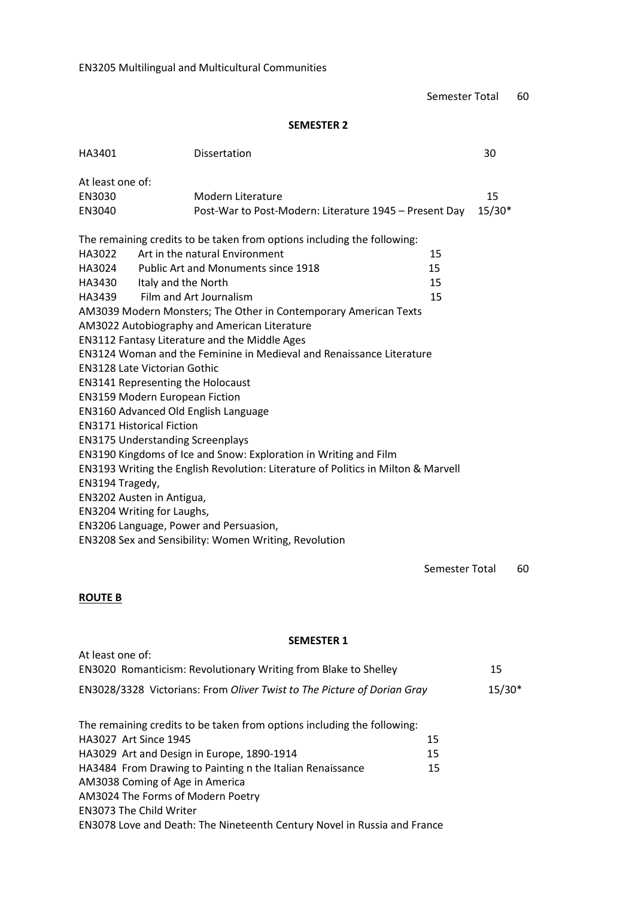Semester Total 60

## **SEMESTER 2**

| HA3401                                                                            | Dissertation                                                            | 30     |  |
|-----------------------------------------------------------------------------------|-------------------------------------------------------------------------|--------|--|
| At least one of:                                                                  |                                                                         |        |  |
| EN3030                                                                            | Modern Literature                                                       | 15     |  |
| EN3040                                                                            | Post-War to Post-Modern: Literature 1945 - Present Day                  | 15/30* |  |
|                                                                                   | The remaining credits to be taken from options including the following: |        |  |
| HA3022                                                                            | Art in the natural Environment                                          | 15     |  |
| HA3024                                                                            | <b>Public Art and Monuments since 1918</b>                              | 15     |  |
| HA3430<br>Italy and the North                                                     |                                                                         | 15     |  |
| HA3439                                                                            | Film and Art Journalism                                                 | 15     |  |
|                                                                                   | AM3039 Modern Monsters; The Other in Contemporary American Texts        |        |  |
|                                                                                   | AM3022 Autobiography and American Literature                            |        |  |
|                                                                                   | <b>EN3112 Fantasy Literature and the Middle Ages</b>                    |        |  |
| EN3124 Woman and the Feminine in Medieval and Renaissance Literature              |                                                                         |        |  |
| <b>EN3128 Late Victorian Gothic</b>                                               |                                                                         |        |  |
| <b>EN3141 Representing the Holocaust</b>                                          |                                                                         |        |  |
| <b>EN3159 Modern European Fiction</b>                                             |                                                                         |        |  |
| EN3160 Advanced Old English Language                                              |                                                                         |        |  |
| <b>EN3171 Historical Fiction</b>                                                  |                                                                         |        |  |
| <b>EN3175 Understanding Screenplays</b>                                           |                                                                         |        |  |
|                                                                                   | EN3190 Kingdoms of Ice and Snow: Exploration in Writing and Film        |        |  |
| EN3193 Writing the English Revolution: Literature of Politics in Milton & Marvell |                                                                         |        |  |
| EN3194 Tragedy,                                                                   |                                                                         |        |  |
| EN3202 Austen in Antigua,                                                         |                                                                         |        |  |
| EN3204 Writing for Laughs,                                                        |                                                                         |        |  |
| EN3206 Language, Power and Persuasion,                                            |                                                                         |        |  |
|                                                                                   | EN3208 Sex and Sensibility: Women Writing, Revolution                   |        |  |

Semester Total 60

# **ROUTE B**

At least one of:

#### **SEMESTER 1**

| EN3020 Romanticism: Revolutionary Writing from Blake to Shelley          |    | 15       |
|--------------------------------------------------------------------------|----|----------|
| EN3028/3328 Victorians: From Oliver Twist to The Picture of Dorian Gray  |    | $15/30*$ |
|                                                                          |    |          |
| The remaining credits to be taken from options including the following:  |    |          |
| <b>HA3027</b> Art Since 1945                                             | 15 |          |
| HA3029 Art and Design in Europe, 1890-1914                               | 15 |          |
| HA3484 From Drawing to Painting n the Italian Renaissance                | 15 |          |
| AM3038 Coming of Age in America                                          |    |          |
| AM3024 The Forms of Modern Poetry                                        |    |          |
| <b>EN3073 The Child Writer</b>                                           |    |          |
| EN3078 Love and Death: The Nineteenth Century Novel in Russia and France |    |          |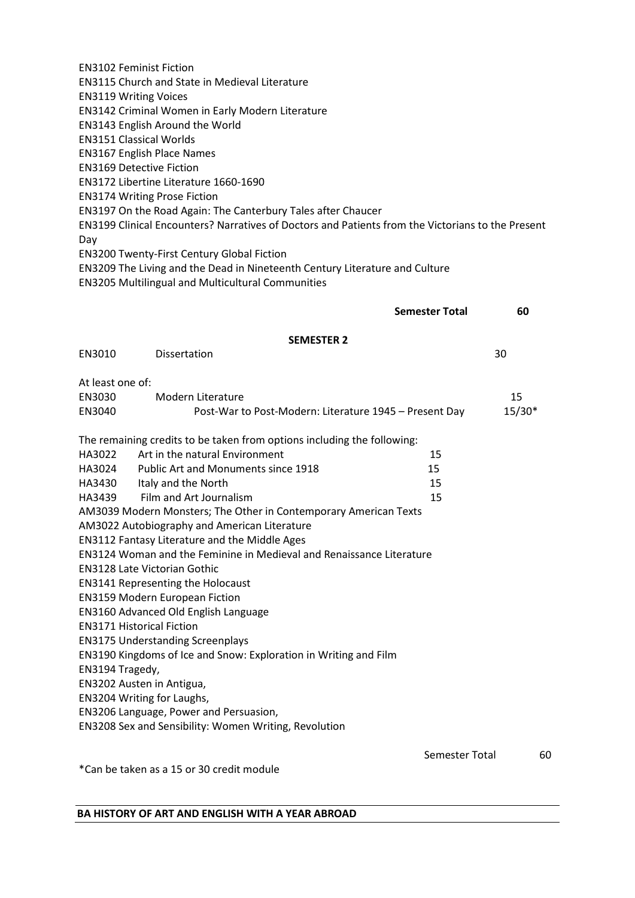EN3102 Feminist Fiction EN3115 Church and State in Medieval Literature EN3119 Writing Voices EN3142 Criminal Women in Early Modern Literature EN3143 English Around the World EN3151 Classical Worlds EN3167 English Place Names EN3169 Detective Fiction EN3172 Libertine Literature 1660-1690 EN3174 Writing Prose Fiction EN3197 On the Road Again: The Canterbury Tales after Chaucer EN3199 Clinical Encounters? Narratives of Doctors and Patients from the Victorians to the Present Day EN3200 Twenty-First Century Global Fiction EN3209 The Living and the Dead in Nineteenth Century Literature and Culture EN3205 Multilingual and Multicultural Communities **Semester Total 60 SEMESTER 2** EN3010 Dissertation 30 At least one of: EN3030 Modern Literature 15 EN3040 Post-War to Post-Modern: Literature 1945 – Present Day 15/30\* The remaining credits to be taken from options including the following: HA3022 Art in the natural Environment 15 HA3024 Public Art and Monuments since 1918 HA3430 Italy and the North 15 HA3439 Film and Art Journalism 15 AM3039 Modern Monsters; The Other in Contemporary American Texts AM3022 Autobiography and American Literature EN3112 Fantasy Literature and the Middle Ages EN3124 Woman and the Feminine in Medieval and Renaissance Literature EN3128 Late Victorian Gothic EN3141 Representing the Holocaust EN3159 Modern European Fiction EN3160 Advanced Old English Language EN3171 Historical Fiction EN3175 Understanding Screenplays EN3190 Kingdoms of Ice and Snow: Exploration in Writing and Film EN3194 Tragedy, EN3202 Austen in Antigua, EN3204 Writing for Laughs, EN3206 Language, Power and Persuasion, EN3208 Sex and Sensibility: Women Writing, Revolution Semester Total 60 \*Can be taken as a 15 or 30 credit module

#### **BA HISTORY OF ART AND ENGLISH WITH A YEAR ABROAD**